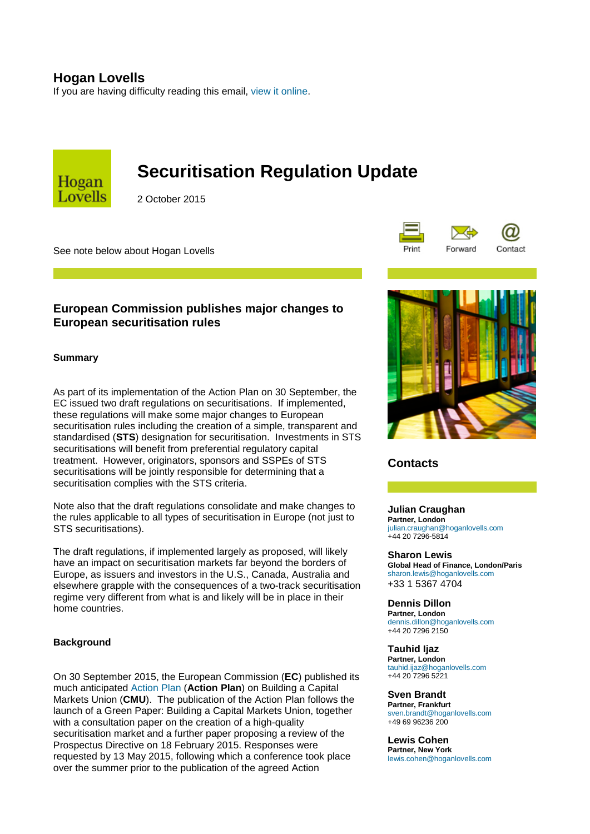# **Hogan Lovells**

If you are having difficulty reading this email, [view it online.](http://ehoganlovells.com/rv/ff00228180d1bbf31c22bb7a6840a983b0927328)



# **Securitisation Regulation Update**

2 October 2015

See note below about Hogan Lovells



## **European Commission publishes major changes to European securitisation rules**

## **Summary**

As part of its implementation of the Action Plan on 30 September, the EC issued two draft regulations on securitisations. If implemented, these regulations will make some major changes to European securitisation rules including the creation of a simple, transparent and standardised (**STS**) designation for securitisation. Investments in STS securitisations will benefit from preferential regulatory capital treatment. However, originators, sponsors and SSPEs of STS securitisations will be jointly responsible for determining that a securitisation complies with the STS criteria.

Note also that the draft regulations consolidate and make changes to the rules applicable to all types of securitisation in Europe (not just to STS securitisations).

The draft regulations, if implemented largely as proposed, will likely have an impact on securitisation markets far beyond the borders of Europe, as issuers and investors in the U.S., Canada, Australia and elsewhere grapple with the consequences of a two-track securitisation regime very different from what is and likely will be in place in their home countries.

## **Background**

On 30 September 2015, the European Commission (**EC**) published its much anticipated [Action Plan](http://ehoganlovells.com/collect/click.aspx?u=+kwomMh7G5fX732ACTd3BPSpKLtkr11K15z+WCg5+T6gGeOICTzSXKYSDwPP86KrwHF9BW3l6BuNoMtzwnkwPc/DIdnl6C4uzvEF9PPmnKUTutWG0gpF9w==&rh=ff00228180d1bbf31c22bb7a6840a983b0927328) (**Action Plan**) on Building a Capital Markets Union (**CMU**). The publication of the Action Plan follows the launch of a Green Paper: Building a Capital Markets Union, together with a consultation paper on the creation of a high-quality securitisation market and a further paper proposing a review of the Prospectus Directive on 18 February 2015. Responses were requested by 13 May 2015, following which a conference took place over the summer prior to the publication of the agreed Action



## **Contacts**

#### **Julian Craughan Partner, London** [julian.craughan@hoganlovells.com](mailto:julian.craughan@hoganlovells.com) +44 20 7296-5814

**Sharon Lewis Global Head of Finance, London/Paris** [sharon.lewis@hoganlovells.com](mailto:sharon.lewis@hoganlovells.com) +33 1 5367 4704

## **Dennis Dillon**

**Partner, London** [dennis.dillon@hoganlovells.com](mailto:dennis.dillon@hoganlovells.com) +44 20 7296 2150

#### **Tauhid Ijaz**

**Partner, London** [tauhid.ijaz@hoganlovells.com](mailto:tauhid.ijaz@hoganlovells.com) +44 20 7296 5221

## **Sven Brandt**

**Partner, Frankfurt** [sven.brandt@hoganlovells.com](mailto:sven.brandt@hoganlovells.com) +49 69 96236 200

#### **Lewis Cohen**

**Partner, New York** [lewis.cohen@hoganlovells.com](mailto:lewis.cohen@hoganlovells.com)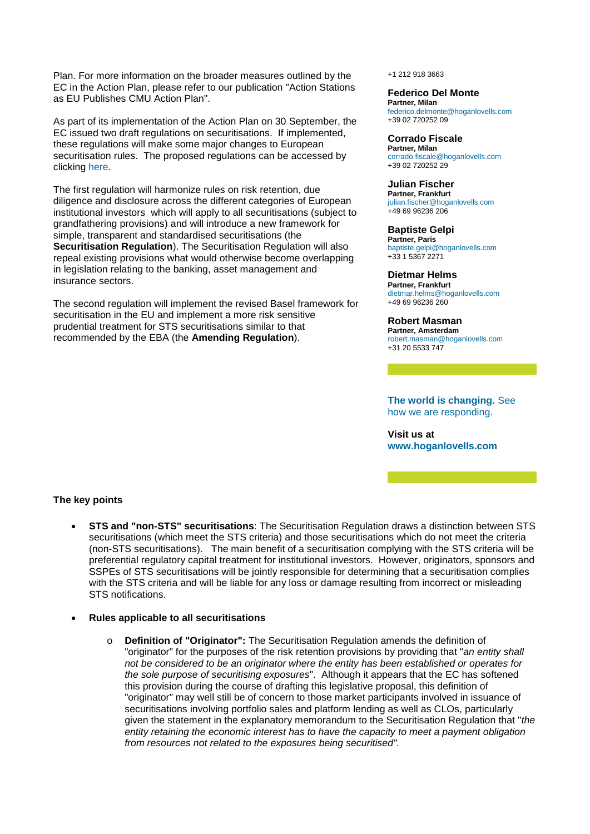Plan. For more information on the broader measures outlined by the EC in the Action Plan, please refer to our publication "Action Stations as EU Publishes CMU Action Plan".

As part of its implementation of the Action Plan on 30 September, the EC issued two draft regulations on securitisations. If implemented, these regulations will make some major changes to European securitisation rules. The proposed regulations can be accessed by clicking [here.](http://ehoganlovells.com/collect/click.aspx?u=+kwomMh7G5fX732ACTd3BPSpKLtkr11KQBrbvl46CMpkD6EbBDc4d2JT8/DWpRFa37+n0+Bir316QJgzvOSdqHyiBUP5XvY8&rh=ff00228180d1bbf31c22bb7a6840a983b0927328)

The first regulation will harmonize rules on risk retention, due diligence and disclosure across the different categories of European institutional investors which will apply to all securitisations (subject to grandfathering provisions) and will introduce a new framework for simple, transparent and standardised securitisations (the **Securitisation Regulation**). The Securitisation Regulation will also repeal existing provisions what would otherwise become overlapping in legislation relating to the banking, asset management and insurance sectors.

The second regulation will implement the revised Basel framework for securitisation in the EU and implement a more risk sensitive prudential treatment for STS securitisations similar to that recommended by the EBA (the **Amending Regulation**).

#### +1 212 918 3663

## **Federico Del Monte**

**Partner, Milan** [federico.delmonte@hoganlovells.com](mailto:federico.delmonte@hoganlovells.com) +39 02 720252 09

## **Corrado Fiscale**

**Partner, Milan** [corrado.fiscale@hoganlovells.com](mailto:corrado.fiscale@hoganlovells.com) +39 02 720252 29

## **Julian Fischer**

**Partner, Frankfurt** [julian.fischer@hoganlovells.com](mailto:julian.fischer@hoganlovells.com) +49 69 96236 206

#### **Baptiste Gelpi**

**Partner, Paris** [baptiste.gelpi@hoganlovells.com](mailto:baptiste.gelpi@hoganlovells.com) +33 1 5367 2271

## **Dietmar Helms**

**Partner, Frankfurt** [dietmar.helms@hoganlovells.com](mailto:dietmar.helms@hoganlovells.com) +49 69 96236 260

## **Robert Masman**

**Partner, Amsterdam** [robert.masman@hoganlovells.com](mailto:robert.masman@hoganlovells.com) +31 20 5533 747

## **[The world is changing.](http://ehoganlovells.com/collect/click.aspx?u=s54SYG4dfwZ6YZKN2h5FExVSCCo6UVRO&rh=ff00228180d1bbf31c22bb7a6840a983b0927328)** See [how we are responding.](http://ehoganlovells.com/collect/click.aspx?u=s54SYG4dfwZ6YZKN2h5FExVSCCo6UVRO&rh=ff00228180d1bbf31c22bb7a6840a983b0927328)

**Visit us at [www.hoganlovells.com](http://ehoganlovells.com/collect/click.aspx?u=/G1GTPto3VV0fJHDA6UTjlSZ/9DP7fhk8+VZsM4wM+U=&rh=ff00228180d1bbf31c22bb7a6840a983b0927328)**

#### **The key points**

- **STS and "non-STS" securitisations**: The Securitisation Regulation draws a distinction between STS securitisations (which meet the STS criteria) and those securitisations which do not meet the criteria (non-STS securitisations). The main benefit of a securitisation complying with the STS criteria will be preferential regulatory capital treatment for institutional investors. However, originators, sponsors and SSPEs of STS securitisations will be jointly responsible for determining that a securitisation complies with the STS criteria and will be liable for any loss or damage resulting from incorrect or misleading STS notifications.
- **Rules applicable to all securitisations**
	- o **Definition of "Originator":** The Securitisation Regulation amends the definition of "originator" for the purposes of the risk retention provisions by providing that "*an entity shall not be considered to be an originator where the entity has been established or operates for the sole purpose of securitising exposures*". Although it appears that the EC has softened this provision during the course of drafting this legislative proposal, this definition of "originator" may well still be of concern to those market participants involved in issuance of securitisations involving portfolio sales and platform lending as well as CLOs, particularly given the statement in the explanatory memorandum to the Securitisation Regulation that "*the entity retaining the economic interest has to have the capacity to meet a payment obligation from resources not related to the exposures being securitised".*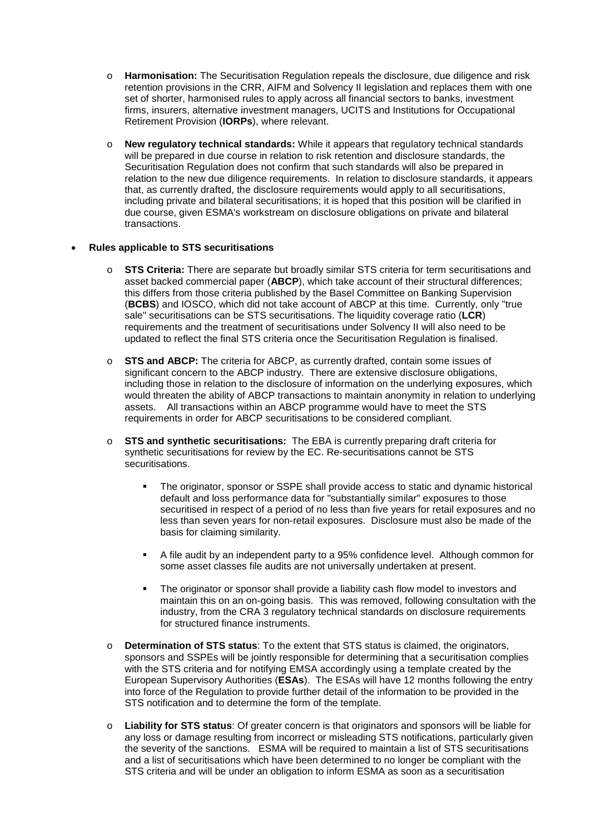- o **Harmonisation:** The Securitisation Regulation repeals the disclosure, due diligence and risk retention provisions in the CRR, AIFM and Solvency II legislation and replaces them with one set of shorter, harmonised rules to apply across all financial sectors to banks, investment firms, insurers, alternative investment managers, UCITS and Institutions for Occupational Retirement Provision (**IORPs**), where relevant.
- o **New regulatory technical standards:** While it appears that regulatory technical standards will be prepared in due course in relation to risk retention and disclosure standards, the Securitisation Regulation does not confirm that such standards will also be prepared in relation to the new due diligence requirements. In relation to disclosure standards, it appears that, as currently drafted, the disclosure requirements would apply to all securitisations, including private and bilateral securitisations; it is hoped that this position will be clarified in due course, given ESMA's workstream on disclosure obligations on private and bilateral transactions.

## • **Rules applicable to STS securitisations**

- o **STS Criteria:** There are separate but broadly similar STS criteria for term securitisations and asset backed commercial paper (**ABCP**), which take account of their structural differences; this differs from those criteria published by the Basel Committee on Banking Supervision (**BCBS**) and IOSCO, which did not take account of ABCP at this time. Currently, only "true sale" securitisations can be STS securitisations. The liquidity coverage ratio (**LCR**) requirements and the treatment of securitisations under Solvency II will also need to be updated to reflect the final STS criteria once the Securitisation Regulation is finalised.
- o **STS and ABCP:** The criteria for ABCP, as currently drafted, contain some issues of significant concern to the ABCP industry. There are extensive disclosure obligations, including those in relation to the disclosure of information on the underlying exposures, which would threaten the ability of ABCP transactions to maintain anonymity in relation to underlying assets. All transactions within an ABCP programme would have to meet the STS requirements in order for ABCP securitisations to be considered compliant.
- o **STS and synthetic securitisations:** The EBA is currently preparing draft criteria for synthetic securitisations for review by the EC. Re-securitisations cannot be STS securitisations.
	- The originator, sponsor or SSPE shall provide access to static and dynamic historical default and loss performance data for "substantially similar" exposures to those securitised in respect of a period of no less than five years for retail exposures and no less than seven years for non-retail exposures. Disclosure must also be made of the basis for claiming similarity.
	- A file audit by an independent party to a 95% confidence level. Although common for some asset classes file audits are not universally undertaken at present.
	- The originator or sponsor shall provide a liability cash flow model to investors and maintain this on an on-going basis. This was removed, following consultation with the industry, from the CRA 3 regulatory technical standards on disclosure requirements for structured finance instruments.
- o **Determination of STS status**: To the extent that STS status is claimed, the originators, sponsors and SSPEs will be jointly responsible for determining that a securitisation complies with the STS criteria and for notifying EMSA accordingly using a template created by the European Supervisory Authorities (**ESAs**). The ESAs will have 12 months following the entry into force of the Regulation to provide further detail of the information to be provided in the STS notification and to determine the form of the template.
- o **Liability for STS status**: Of greater concern is that originators and sponsors will be liable for any loss or damage resulting from incorrect or misleading STS notifications, particularly given the severity of the sanctions. ESMA will be required to maintain a list of STS securitisations and a list of securitisations which have been determined to no longer be compliant with the STS criteria and will be under an obligation to inform ESMA as soon as a securitisation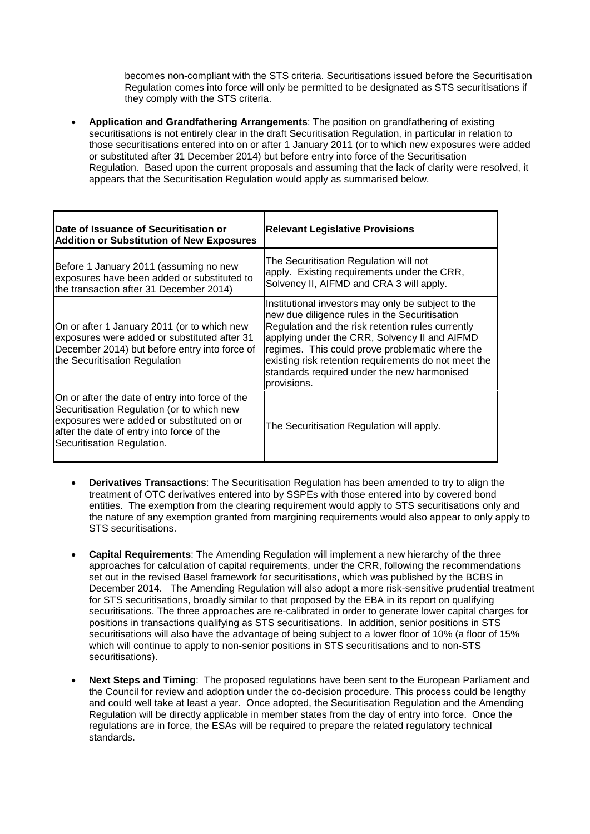becomes non-compliant with the STS criteria. Securitisations issued before the Securitisation Regulation comes into force will only be permitted to be designated as STS securitisations if they comply with the STS criteria.

• **Application and Grandfathering Arrangements**: The position on grandfathering of existing securitisations is not entirely clear in the draft Securitisation Regulation, in particular in relation to those securitisations entered into on or after 1 January 2011 (or to which new exposures were added or substituted after 31 December 2014) but before entry into force of the Securitisation Regulation. Based upon the current proposals and assuming that the lack of clarity were resolved, it appears that the Securitisation Regulation would apply as summarised below.

| Date of Issuance of Securitisation or<br><b>Addition or Substitution of New Exposures</b>                                                                                                                             | <b>Relevant Legislative Provisions</b>                                                                                                                                                                                                                                                                                                                                             |
|-----------------------------------------------------------------------------------------------------------------------------------------------------------------------------------------------------------------------|------------------------------------------------------------------------------------------------------------------------------------------------------------------------------------------------------------------------------------------------------------------------------------------------------------------------------------------------------------------------------------|
| Before 1 January 2011 (assuming no new<br>exposures have been added or substituted to<br>the transaction after 31 December 2014)                                                                                      | The Securitisation Regulation will not<br>apply. Existing requirements under the CRR,<br>Solvency II, AIFMD and CRA 3 will apply.                                                                                                                                                                                                                                                  |
| On or after 1 January 2011 (or to which new<br>exposures were added or substituted after 31<br>December 2014) but before entry into force of<br>the Securitisation Regulation                                         | Institutional investors may only be subject to the<br>new due diligence rules in the Securitisation<br>Regulation and the risk retention rules currently<br>applying under the CRR, Solvency II and AIFMD<br>regimes. This could prove problematic where the<br>existing risk retention requirements do not meet the<br>standards required under the new harmonised<br>provisions. |
| On or after the date of entry into force of the<br>Securitisation Regulation (or to which new<br>exposures were added or substituted on or<br>after the date of entry into force of the<br>Securitisation Regulation. | The Securitisation Regulation will apply.                                                                                                                                                                                                                                                                                                                                          |

- **Derivatives Transactions**: The Securitisation Regulation has been amended to try to align the treatment of OTC derivatives entered into by SSPEs with those entered into by covered bond entities. The exemption from the clearing requirement would apply to STS securitisations only and the nature of any exemption granted from margining requirements would also appear to only apply to STS securitisations.
- **Capital Requirements**: The Amending Regulation will implement a new hierarchy of the three approaches for calculation of capital requirements, under the CRR, following the recommendations set out in the revised Basel framework for securitisations, which was published by the BCBS in December 2014. The Amending Regulation will also adopt a more risk-sensitive prudential treatment for STS securitisations, broadly similar to that proposed by the EBA in its report on qualifying securitisations. The three approaches are re-calibrated in order to generate lower capital charges for positions in transactions qualifying as STS securitisations. In addition, senior positions in STS securitisations will also have the advantage of being subject to a lower floor of 10% (a floor of 15% which will continue to apply to non-senior positions in STS securitisations and to non-STS securitisations).
- **Next Steps and Timing**: The proposed regulations have been sent to the European Parliament and the Council for review and adoption under the co-decision procedure. This process could be lengthy and could well take at least a year. Once adopted, the Securitisation Regulation and the Amending Regulation will be directly applicable in member states from the day of entry into force. Once the regulations are in force, the ESAs will be required to prepare the related regulatory technical standards.